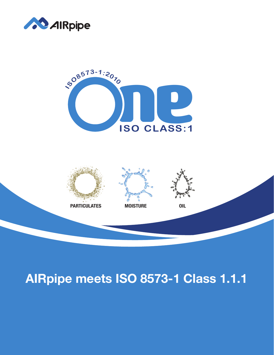





## AlRpipe meets ISO 8573-1 Class 1.1.1